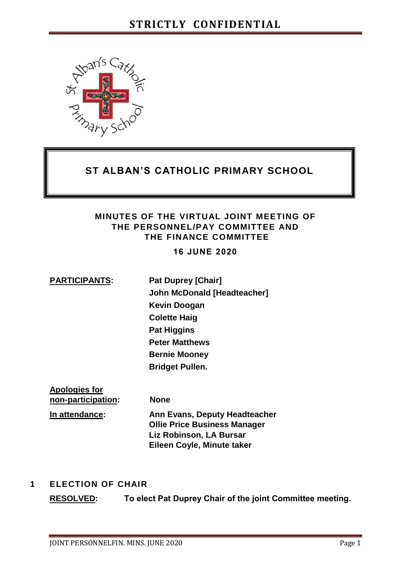

# **ST ALBAN'S CATHOLIC PRIMARY SCHOOL**

#### **MINUTES OF THE VIRTUAL JOINT MEETING OF THE PERSONNEL/PAY COMMITTEE AND THE FINANCE COMMITTEE**

**16 JUNE 2020**

**PARTICIPANTS: Pat Duprey [Chair] John McDonald [Headteacher] Kevin Doogan Colette Haig Pat Higgins Peter Matthews Bernie Mooney Bridget Pullen.** 

**Apologies for non-participation: None In attendance: Ann Evans, Deputy Headteacher Ollie Price Business Manager Liz Robinson, LA Bursar Eileen Coyle, Minute taker** 

#### **1 ELECTION OF CHAIR**

**RESOLVED: To elect Pat Duprey Chair of the joint Committee meeting.**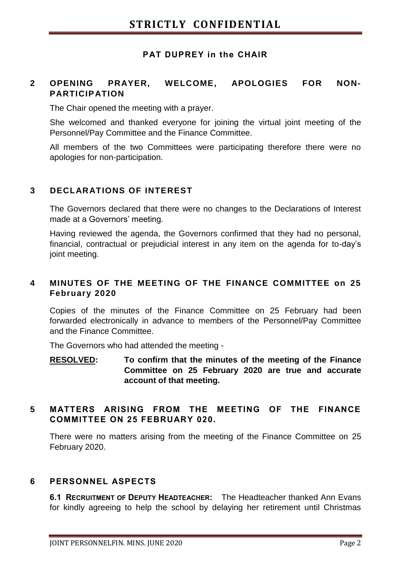#### **PAT DUPREY in the CHAIR**

#### **2 OPENING PRAYER, WELCOME, APOLOGIES FOR NON-PARTICIPATION**

The Chair opened the meeting with a prayer.

She welcomed and thanked everyone for joining the virtual joint meeting of the Personnel/Pay Committee and the Finance Committee.

All members of the two Committees were participating therefore there were no apologies for non-participation.

#### **3 DECLARATIONS OF INTEREST**

The Governors declared that there were no changes to the Declarations of Interest made at a Governors' meeting.

Having reviewed the agenda, the Governors confirmed that they had no personal, financial, contractual or prejudicial interest in any item on the agenda for to-day's joint meeting.

#### **4 MINUTES OF THE MEETING OF THE FINANCE COMMITTEE on 25 February 2020**

Copies of the minutes of the Finance Committee on 25 February had been forwarded electronically in advance to members of the Personnel/Pay Committee and the Finance Committee.

The Governors who had attended the meeting -

**RESOLVED: To confirm that the minutes of the meeting of the Finance Committee on 25 February 2020 are true and accurate account of that meeting.** 

#### **5 MATTERS ARISING FROM THE MEETING OF THE FINANCE COMMITTEE ON 25 FEBRUARY 020.**

There were no matters arising from the meeting of the Finance Committee on 25 February 2020.

#### **6 PERSONNEL ASPECTS**

**6.1 RECRUITMENT OF DEPUTY HEADTEACHER:** The Headteacher thanked Ann Evans for kindly agreeing to help the school by delaying her retirement until Christmas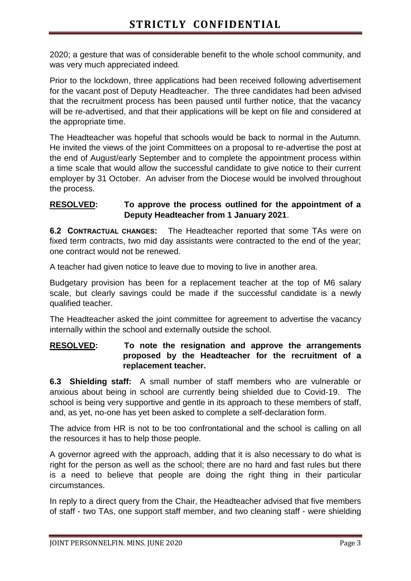2020; a gesture that was of considerable benefit to the whole school community, and was very much appreciated indeed.

Prior to the lockdown, three applications had been received following advertisement for the vacant post of Deputy Headteacher. The three candidates had been advised that the recruitment process has been paused until further notice, that the vacancy will be re-advertised, and that their applications will be kept on file and considered at the appropriate time.

The Headteacher was hopeful that schools would be back to normal in the Autumn. He invited the views of the joint Committees on a proposal to re-advertise the post at the end of August/early September and to complete the appointment process within a time scale that would allow the successful candidate to give notice to their current employer by 31 October. An adviser from the Diocese would be involved throughout the process.

#### **RESOLVED: To approve the process outlined for the appointment of a Deputy Headteacher from 1 January 2021**.

**6.2 CONTRACTUAL CHANGES:** The Headteacher reported that some TAs were on fixed term contracts, two mid day assistants were contracted to the end of the year; one contract would not be renewed.

A teacher had given notice to leave due to moving to live in another area.

Budgetary provision has been for a replacement teacher at the top of M6 salary scale, but clearly savings could be made if the successful candidate is a newly qualified teacher.

The Headteacher asked the joint committee for agreement to advertise the vacancy internally within the school and externally outside the school.

#### **RESOLVED: To note the resignation and approve the arrangements proposed by the Headteacher for the recruitment of a replacement teacher.**

**6.3 Shielding staff:** A small number of staff members who are vulnerable or anxious about being in school are currently being shielded due to Covid-19. The school is being very supportive and gentle in its approach to these members of staff, and, as yet, no-one has yet been asked to complete a self-declaration form.

The advice from HR is not to be too confrontational and the school is calling on all the resources it has to help those people.

A governor agreed with the approach, adding that it is also necessary to do what is right for the person as well as the school; there are no hard and fast rules but there is a need to believe that people are doing the right thing in their particular circumstances.

In reply to a direct query from the Chair, the Headteacher advised that five members of staff - two TAs, one support staff member, and two cleaning staff - were shielding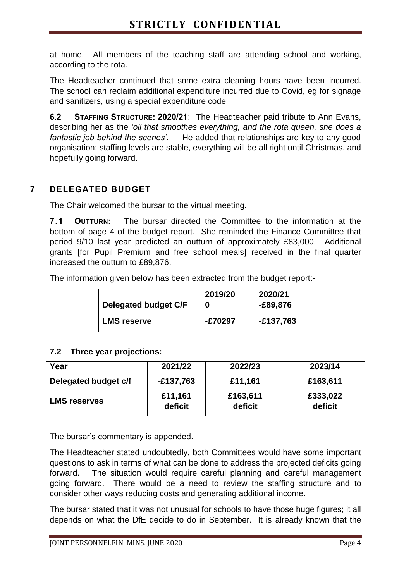at home. All members of the teaching staff are attending school and working, according to the rota.

The Headteacher continued that some extra cleaning hours have been incurred. The school can reclaim additional expenditure incurred due to Covid, eg for signage and sanitizers, using a special expenditure code

**6.2 STAFFING STRUCTURE: 2020/21**: The Headteacher paid tribute to Ann Evans, describing her as the *'oil that smoothes everything, and the rota queen, she does a fantastic job behind the scenes'*. He added that relationships are key to any good organisation; staffing levels are stable, everything will be all right until Christmas, and hopefully going forward.

# **7 DELEGATED BUDGET**

The Chair welcomed the bursar to the virtual meeting.

**7.1 OUTTURN:** The bursar directed the Committee to the information at the bottom of page 4 of the budget report. She reminded the Finance Committee that period 9/10 last year predicted an outturn of approximately £83,000. Additional grants [for Pupil Premium and free school meals] received in the final quarter increased the outturn to £89,876.

The information given below has been extracted from the budget report:-

|                      | 2019/20 | 2020/21  |
|----------------------|---------|----------|
| Delegated budget C/F | 0       | -£89,876 |
| <b>LMS reserve</b>   | E70297- | E137,763 |

#### **7.2 Three year projections:**

| Year                 | 2021/22            | 2022/23             | 2023/14             |
|----------------------|--------------------|---------------------|---------------------|
| Delegated budget c/f | $-£137,763$        | £11,161             | £163,611            |
| <b>LMS reserves</b>  | £11,161<br>deficit | £163,611<br>deficit | £333,022<br>deficit |

The bursar's commentary is appended.

The Headteacher stated undoubtedly, both Committees would have some important questions to ask in terms of what can be done to address the projected deficits going forward. The situation would require careful planning and careful management going forward. There would be a need to review the staffing structure and to consider other ways reducing costs and generating additional income**.** 

The bursar stated that it was not unusual for schools to have those huge figures; it all depends on what the DfE decide to do in September. It is already known that the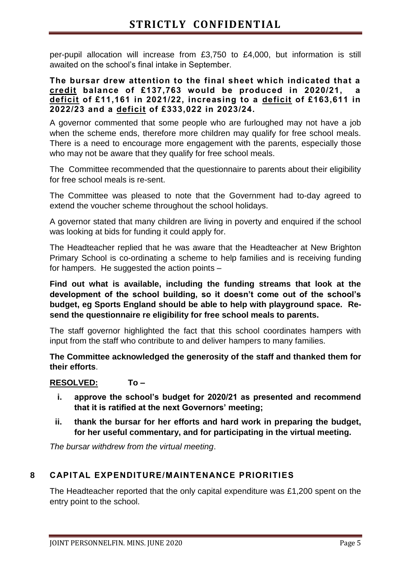per-pupil allocation will increase from £3,750 to £4,000, but information is still awaited on the school's final intake in September.

#### **The bursar drew attention to the final sheet which indicated that a credit balance of £137,763 would be produced in 2020/21, a deficit of £11,161 in 2021/22, increasing to a deficit of £163,611 in 2022/23 and a deficit of £333,022 in 2023/24.**

A governor commented that some people who are furloughed may not have a job when the scheme ends, therefore more children may qualify for free school meals. There is a need to encourage more engagement with the parents, especially those who may not be aware that they qualify for free school meals.

The Committee recommended that the questionnaire to parents about their eligibility for free school meals is re-sent.

The Committee was pleased to note that the Government had to-day agreed to extend the voucher scheme throughout the school holidays.

A governor stated that many children are living in poverty and enquired if the school was looking at bids for funding it could apply for.

The Headteacher replied that he was aware that the Headteacher at New Brighton Primary School is co-ordinating a scheme to help families and is receiving funding for hampers. He suggested the action points –

**Find out what is available, including the funding streams that look at the development of the school building, so it doesn't come out of the school's budget, eg Sports England should be able to help with playground space. Resend the questionnaire re eligibility for free school meals to parents.** 

The staff governor highlighted the fact that this school coordinates hampers with input from the staff who contribute to and deliver hampers to many families.

**The Committee acknowledged the generosity of the staff and thanked them for their efforts**.

#### **RESOLVED: To –**

- **i. approve the school's budget for 2020/21 as presented and recommend that it is ratified at the next Governors' meeting;**
- **ii. thank the bursar for her efforts and hard work in preparing the budget, for her useful commentary, and for participating in the virtual meeting.**

*The bursar withdrew from the virtual meeting*.

# **8 CAPITAL EXPENDITURE/MAINTENANCE PRIORITIES**

The Headteacher reported that the only capital expenditure was £1,200 spent on the entry point to the school.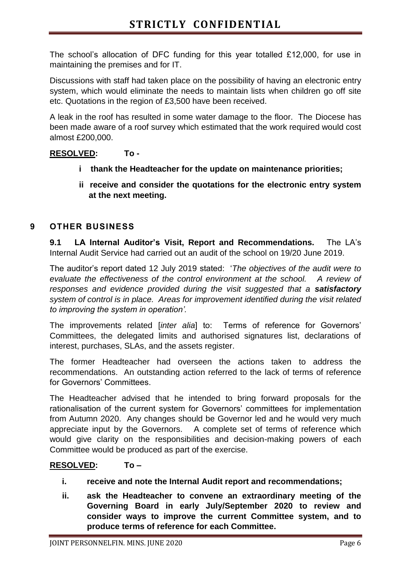The school's allocation of DFC funding for this year totalled £12,000, for use in maintaining the premises and for IT.

Discussions with staff had taken place on the possibility of having an electronic entry system, which would eliminate the needs to maintain lists when children go off site etc. Quotations in the region of £3,500 have been received.

A leak in the roof has resulted in some water damage to the floor. The Diocese has been made aware of a roof survey which estimated that the work required would cost almost £200,000.

### **RESOLVED: To -**

- **i thank the Headteacher for the update on maintenance priorities;**
- **ii receive and consider the quotations for the electronic entry system at the next meeting.**

#### **9 OTHER BUSINESS**

**9.1 LA Internal Auditor's Visit, Report and Recommendations.** The LA's Internal Audit Service had carried out an audit of the school on 19/20 June 2019.

The auditor's report dated 12 July 2019 stated: '*The objectives of the audit were to evaluate the effectiveness of the control environment at the school. A review of responses and evidence provided during the visit suggested that a satisfactory system of control is in place. Areas for improvement identified during the visit related to improving the system in operation'.* 

The improvements related [*inter alia*] to: Terms of reference for Governors' Committees, the delegated limits and authorised signatures list, declarations of interest, purchases, SLAs, and the assets register.

The former Headteacher had overseen the actions taken to address the recommendations. An outstanding action referred to the lack of terms of reference for Governors' Committees.

The Headteacher advised that he intended to bring forward proposals for the rationalisation of the current system for Governors' committees for implementation from Autumn 2020. Any changes should be Governor led and he would very much appreciate input by the Governors. A complete set of terms of reference which would give clarity on the responsibilities and decision-making powers of each Committee would be produced as part of the exercise.

# **RESOLVED: To –**

- **i. receive and note the Internal Audit report and recommendations;**
- **ii. ask the Headteacher to convene an extraordinary meeting of the Governing Board in early July/September 2020 to review and consider ways to improve the current Committee system, and to produce terms of reference for each Committee.**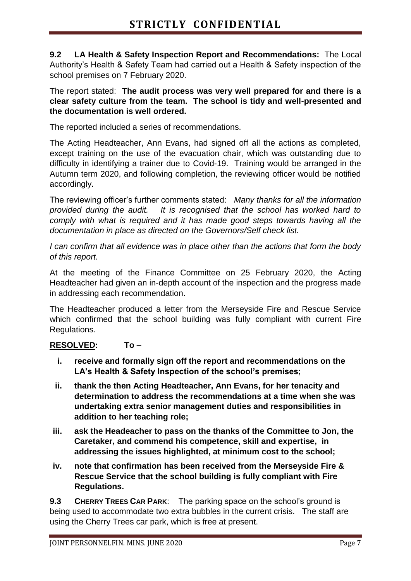**9.2 LA Health & Safety Inspection Report and Recommendations:** The Local Authority's Health & Safety Team had carried out a Health & Safety inspection of the school premises on 7 February 2020.

The report stated: **The audit process was very well prepared for and there is a clear safety culture from the team. The school is tidy and well-presented and the documentation is well ordered.**

The reported included a series of recommendations.

The Acting Headteacher, Ann Evans, had signed off all the actions as completed, except training on the use of the evacuation chair, which was outstanding due to difficulty in identifying a trainer due to Covid-19. Training would be arranged in the Autumn term 2020, and following completion, the reviewing officer would be notified accordingly.

The reviewing officer's further comments stated: *Many thanks for all the information provided during the audit. It is recognised that the school has worked hard to comply with what is required and it has made good steps towards having all the documentation in place as directed on the Governors/Self check list.* 

*I can confirm that all evidence was in place other than the actions that form the body of this report.* 

At the meeting of the Finance Committee on 25 February 2020, the Acting Headteacher had given an in-depth account of the inspection and the progress made in addressing each recommendation.

The Headteacher produced a letter from the Merseyside Fire and Rescue Service which confirmed that the school building was fully compliant with current Fire Regulations.

# **RESOLVED: To –**

- **i. receive and formally sign off the report and recommendations on the LA's Health & Safety Inspection of the school's premises;**
- **ii. thank the then Acting Headteacher, Ann Evans, for her tenacity and determination to address the recommendations at a time when she was undertaking extra senior management duties and responsibilities in addition to her teaching role;**
- **iii. ask the Headeacher to pass on the thanks of the Committee to Jon, the Caretaker, and commend his competence, skill and expertise, in addressing the issues highlighted, at minimum cost to the school;**
- **iv. note that confirmation has been received from the Merseyside Fire & Rescue Service that the school building is fully compliant with Fire Regulations.**

**9.3 CHERRY TREES CAR PARK**: The parking space on the school's ground is being used to accommodate two extra bubbles in the current crisis. The staff are using the Cherry Trees car park, which is free at present.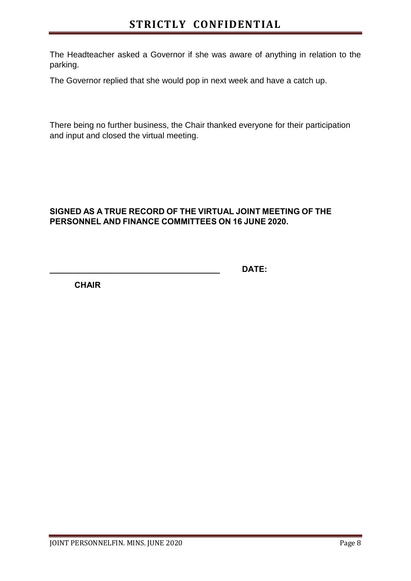The Headteacher asked a Governor if she was aware of anything in relation to the parking.

The Governor replied that she would pop in next week and have a catch up.

There being no further business, the Chair thanked everyone for their participation and input and closed the virtual meeting.

### **SIGNED AS A TRUE RECORD OF THE VIRTUAL JOINT MEETING OF THE PERSONNEL AND FINANCE COMMITTEES ON 16 JUNE 2020.**

**\_\_\_\_\_\_\_\_\_\_\_\_\_\_\_\_\_\_\_\_\_\_\_\_\_\_\_\_\_\_\_\_\_\_\_\_\_ DATE:**

**CHAIR**